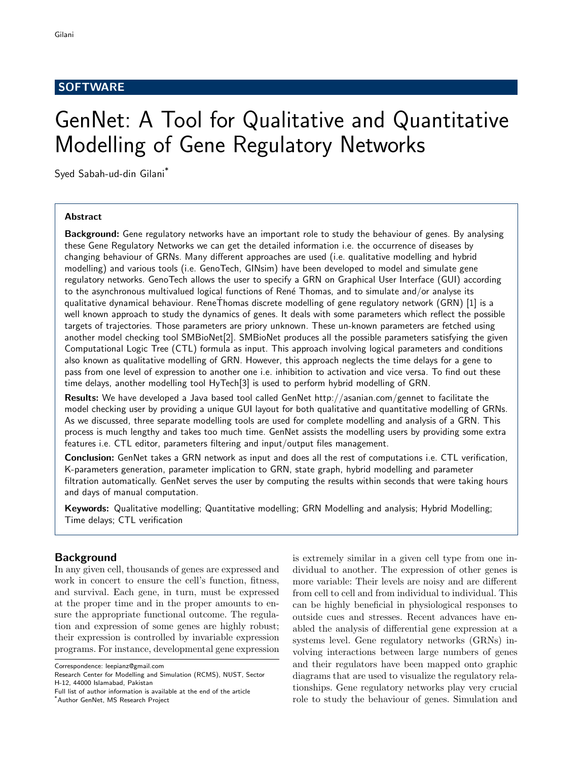# **SOFTWARE**

# GenNet: A Tool for Qualitative and Quantitative Modelling of Gene Regulatory Networks

Syed Sabah-ud-din Gilani\*

## Abstract

Background: Gene regulatory networks have an important role to study the behaviour of genes. By analysing these Gene Regulatory Networks we can get the detailed information i.e. the occurrence of diseases by changing behaviour of GRNs. Many different approaches are used (i.e. qualitative modelling and hybrid modelling) and various tools (i.e. GenoTech, GINsim) have been developed to model and simulate gene regulatory networks. GenoTech allows the user to specify a GRN on Graphical User Interface (GUI) according to the asynchronous multivalued logical functions of René Thomas, and to simulate and/or analyse its qualitative dynamical behaviour. ReneThomas discrete modelling of gene regulatory network (GRN) [1] is a ´ well known approach to study the dynamics of genes. It deals with some parameters which reflect the possible targets of trajectories. Those parameters are priory unknown. These un-known parameters are fetched using another model checking tool SMBioNet[2]. SMBioNet produces all the possible parameters satisfying the given Computational Logic Tree (CTL) formula as input. This approach involving logical parameters and conditions also known as qualitative modelling of GRN. However, this approach neglects the time delays for a gene to pass from one level of expression to another one i.e. inhibition to activation and vice versa. To find out these time delays, another modelling tool HyTech[3] is used to perform hybrid modelling of GRN.

Results: We have developed a Java based tool called GenNet http://asanian.com/gennet to facilitate the model checking user by providing a unique GUI layout for both qualitative and quantitative modelling of GRNs. As we discussed, three separate modelling tools are used for complete modelling and analysis of a GRN. This process is much lengthy and takes too much time. GenNet assists the modelling users by providing some extra features i.e. CTL editor, parameters filtering and input/output files management.

Conclusion: GenNet takes a GRN network as input and does all the rest of computations i.e. CTL verification, K-parameters generation, parameter implication to GRN, state graph, hybrid modelling and parameter filtration automatically. GenNet serves the user by computing the results within seconds that were taking hours and days of manual computation.

Keywords: Qualitative modelling; Quantitative modelling; GRN Modelling and analysis; Hybrid Modelling; Time delays; CTL verification

# Background

In any given cell, thousands of genes are expressed and work in concert to ensure the cell's function, fitness, and survival. Each gene, in turn, must be expressed at the proper time and in the proper amounts to ensure the appropriate functional outcome. The regulation and expression of some genes are highly robust; their expression is controlled by invariable expression programs. For instance, developmental gene expression

Correspondence: leepianz@gmail.com

is extremely similar in a given cell type from one individual to another. The expression of other genes is more variable: Their levels are noisy and are different from cell to cell and from individual to individual. This can be highly beneficial in physiological responses to outside cues and stresses. Recent advances have enabled the analysis of differential gene expression at a systems level. Gene regulatory networks (GRNs) involving interactions between large numbers of genes and their regulators have been mapped onto graphic diagrams that are used to visualize the regulatory relationships. Gene regulatory networks play very crucial role to study the behaviour of genes. Simulation and

Research Center for Modelling and Simulation (RCMS), NUST, Sector H-12, 44000 Islamabad, Pakistan

Full list of author information is available at the end of the article \*Author GenNet, MS Research Project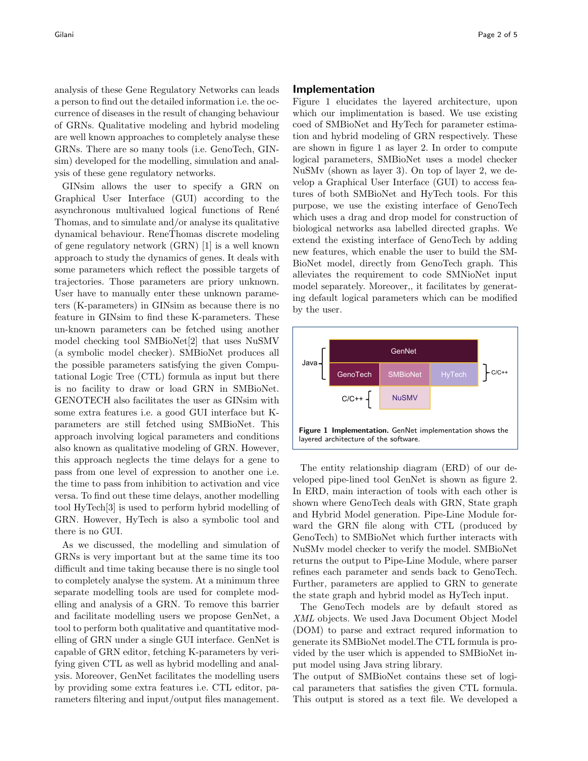analysis of these Gene Regulatory Networks can leads a person to find out the detailed information i.e. the occurrence of diseases in the result of changing behaviour of GRNs. Qualitative modeling and hybrid modeling are well known approaches to completely analyse these GRNs. There are so many tools (i.e. GenoTech, GINsim) developed for the modelling, simulation and analysis of these gene regulatory networks.

GINsim allows the user to specify a GRN on Graphical User Interface (GUI) according to the asynchronous multivalued logical functions of René Thomas, and to simulate and/or analyse its qualitative dynamical behaviour. ReneThomas discrete modeling ´ of gene regulatory network (GRN) [1] is a well known approach to study the dynamics of genes. It deals with some parameters which reflect the possible targets of trajectories. Those parameters are priory unknown. User have to manually enter these unknown parameters (K-parameters) in GINsim as because there is no feature in GINsim to find these K-parameters. These un-known parameters can be fetched using another model checking tool SMBioNet[2] that uses NuSMV (a symbolic model checker). SMBioNet produces all the possible parameters satisfying the given Computational Logic Tree (CTL) formula as input but there is no facility to draw or load GRN in SMBioNet. GENOTECH also facilitates the user as GINsim with some extra features i.e. a good GUI interface but Kparameters are still fetched using SMBioNet. This approach involving logical parameters and conditions also known as qualitative modeling of GRN. However, this approach neglects the time delays for a gene to pass from one level of expression to another one i.e. the time to pass from inhibition to activation and vice versa. To find out these time delays, another modelling tool HyTech[3] is used to perform hybrid modelling of GRN. However, HyTech is also a symbolic tool and there is no GUI.

As we discussed, the modelling and simulation of GRNs is very important but at the same time its too difficult and time taking because there is no single tool to completely analyse the system. At a minimum three separate modelling tools are used for complete modelling and analysis of a GRN. To remove this barrier and facilitate modelling users we propose GenNet, a tool to perform both qualitative and quantitative modelling of GRN under a single GUI interface. GenNet is capable of GRN editor, fetching K-parameters by verifying given CTL as well as hybrid modelling and analysis. Moreover, GenNet facilitates the modelling users by providing some extra features i.e. CTL editor, parameters filtering and input/output files management.

### Implementation

Figure 1 elucidates the layered architecture, upon which our implimentation is based. We use existing coed of SMBioNet and HyTech for parameter estimation and hybrid modeling of GRN respectively. These are shown in figure 1 as layer 2. In order to compute logical parameters, SMBioNet uses a model checker NuSMv (shown as layer 3). On top of layer 2, we develop a Graphical User Interface (GUI) to access features of both SMBioNet and HyTech tools. For this purpose, we use the existing interface of GenoTech which uses a drag and drop model for construction of biological networks asa labelled directed graphs. We extend the existing interface of GenoTech by adding new features, which enable the user to build the SM-BioNet model, directly from GenoTech graph. This alleviates the requirement to code SMNioNet input model separately. Moreover,, it facilitates by generating default logical parameters which can be modified by the user.



The entity relationship diagram (ERD) of our developed pipe-lined tool GenNet is shown as figure 2. In ERD, main interaction of tools with each other is shown where GenoTech deals with GRN, State graph and Hybrid Model generation. Pipe-Line Module forward the GRN file along with CTL (produced by GenoTech) to SMBioNet which further interacts with NuSMv model checker to verify the model. SMBioNet returns the output to Pipe-Line Module, where parser refines each parameter and sends back to GenoTech. Further, parameters are applied to GRN to generate the state graph and hybrid model as HyTech input.

The GenoTech models are by default stored as XML objects. We used Java Document Object Model (DOM) to parse and extract requred information to generate its SMBioNet model.The CTL formula is provided by the user which is appended to SMBioNet input model using Java string library.

The output of SMBioNet contains these set of logical parameters that satisfies the given CTL formula. This output is stored as a text file. We developed a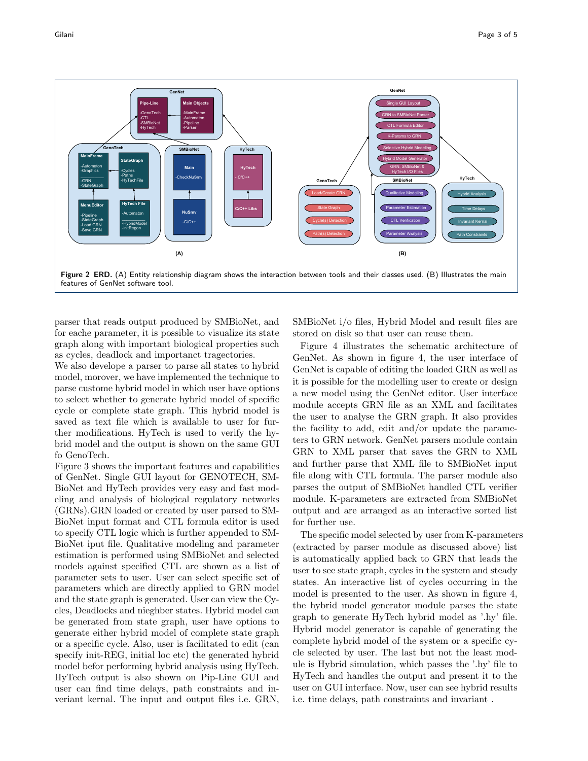

parser that reads output produced by SMBioNet, and for eache parameter, it is possible to visualize its state graph along with important biological properties such as cycles, deadlock and importanct tragectories.

We also develope a parser to parse all states to hybrid model, morover, we have implemented the technique to parse custome hybrid model in which user have options to select whether to generate hybrid model of specific cycle or complete state graph. This hybrid model is saved as text file which is available to user for further modifications. HyTech is used to verify the hybrid model and the output is shown on the same GUI fo GenoTech.

Figure 3 shows the important features and capabilities of GenNet. Single GUI layout for GENOTECH, SM-BioNet and HyTech provides very easy and fast modeling and analysis of biological regulatory networks (GRNs).GRN loaded or created by user parsed to SM-BioNet input format and CTL formula editor is used to specify CTL logic which is further appended to SM-BioNet iput file. Qualitative modeling and parameter estimation is performed using SMBioNet and selected models against specified CTL are shown as a list of parameter sets to user. User can select specific set of parameters which are directly applied to GRN model and the state graph is generated. User can view the Cycles, Deadlocks and nieghber states. Hybrid model can be generated from state graph, user have options to generate either hybrid model of complete state graph or a specific cycle. Also, user is facilitated to edit (can specify init-REG, initial loc etc) the generated hybrid model befor performing hybrid analysis using HyTech. HyTech output is also shown on Pip-Line GUI and user can find time delays, path constraints and inveriant kernal. The input and output files i.e. GRN,

SMBioNet i/o files, Hybrid Model and result files are stored on disk so that user can reuse them.

Figure 4 illustrates the schematic architecture of GenNet. As shown in figure 4, the user interface of GenNet is capable of editing the loaded GRN as well as it is possible for the modelling user to create or design a new model using the GenNet editor. User interface module accepts GRN file as an XML and facilitates the user to analyse the GRN graph. It also provides the facility to add, edit and/or update the parameters to GRN network. GenNet parsers module contain GRN to XML parser that saves the GRN to XML and further parse that XML file to SMBioNet input file along with CTL formula. The parser module also parses the output of SMBioNet handled CTL verifier module. K-parameters are extracted from SMBioNet output and are arranged as an interactive sorted list for further use.

The specific model selected by user from K-parameters (extracted by parser module as discussed above) list is automatically applied back to GRN that leads the user to see state graph, cycles in the system and steady states. An interactive list of cycles occurring in the model is presented to the user. As shown in figure 4, the hybrid model generator module parses the state graph to generate HyTech hybrid model as '.hy' file. Hybrid model generator is capable of generating the complete hybrid model of the system or a specific cycle selected by user. The last but not the least module is Hybrid simulation, which passes the '.hy' file to HyTech and handles the output and present it to the user on GUI interface. Now, user can see hybrid results i.e. time delays, path constraints and invariant .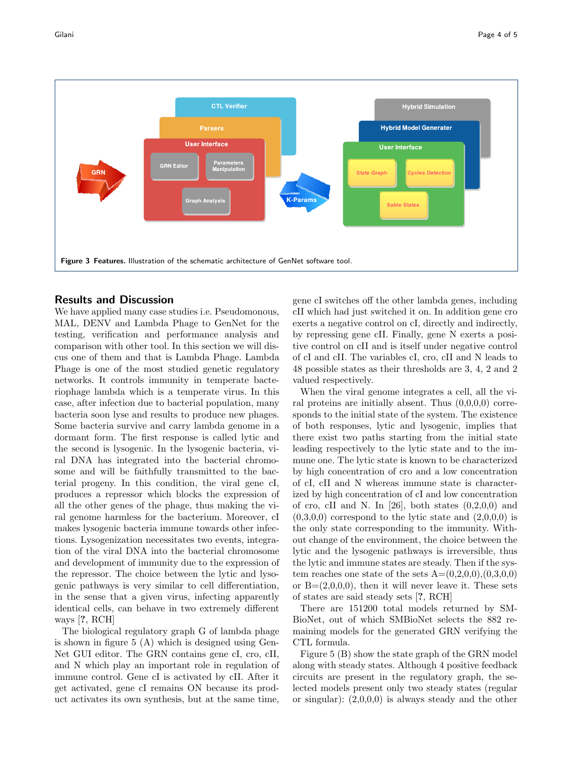

## Results and Discussion

We have applied many case studies i.e. Pseudomonous, MAL, DENV and Lambda Phage to GenNet for the testing, verification and performance analysis and comparison with other tool. In this section we will discus one of them and that is Lambda Phage. Lambda Phage is one of the most studied genetic regulatory networks. It controls immunity in temperate bacteriophage lambda which is a temperate virus. In this case, after infection due to bacterial population, many bacteria soon lyse and results to produce new phages. Some bacteria survive and carry lambda genome in a dormant form. The first response is called lytic and the second is lysogenic. In the lysogenic bacteria, viral DNA has integrated into the bacterial chromosome and will be faithfully transmitted to the bacterial progeny. In this condition, the viral gene cI, produces a repressor which blocks the expression of all the other genes of the phage, thus making the viral genome harmless for the bacterium. Moreover, cI makes lysogenic bacteria immune towards other infections. Lysogenization necessitates two events, integration of the viral DNA into the bacterial chromosome and development of immunity due to the expression of the repressor. The choice between the lytic and lysogenic pathways is very similar to cell differentiation, in the sense that a given virus, infecting apparently identical cells, can behave in two extremely different ways [?, RCH]

The biological regulatory graph G of lambda phage is shown in figure 5 (A) which is designed using Gen-Net GUI editor. The GRN contains gene cI, cro, cII, and N which play an important role in regulation of immune control. Gene cI is activated by cII. After it get activated, gene cI remains ON because its product activates its own synthesis, but at the same time,

gene cI switches off the other lambda genes, including cII which had just switched it on. In addition gene cro exerts a negative control on cI, directly and indirectly, by repressing gene cII. Finally, gene N exerts a positive control on cII and is itself under negative control of cI and cII. The variables cI, cro, cII and N leads to 48 possible states as their thresholds are 3, 4, 2 and 2 valued respectively.

When the viral genome integrates a cell, all the viral proteins are initially absent. Thus  $(0,0,0,0)$  corresponds to the initial state of the system. The existence of both responses, lytic and lysogenic, implies that there exist two paths starting from the initial state leading respectively to the lytic state and to the immune one. The lytic state is known to be characterized by high concentration of cro and a low concentration of cI, cII and N whereas immune state is characterized by high concentration of cI and low concentration of cro, cII and N. In  $[26]$ , both states  $(0,2,0,0)$  and  $(0,3,0,0)$  correspond to the lytic state and  $(2,0,0,0)$  is the only state corresponding to the immunity. Without change of the environment, the choice between the lytic and the lysogenic pathways is irreversible, thus the lytic and immune states are steady. Then if the system reaches one state of the sets  $A=(0,2,0,0),(0,3,0,0)$ or  $B=(2,0,0,0)$ , then it will never leave it. These sets of states are said steady sets [?, RCH]

There are 151200 total models returned by SM-BioNet, out of which SMBioNet selects the 882 remaining models for the generated GRN verifying the CTL formula.

Figure 5 (B) show the state graph of the GRN model along with steady states. Although 4 positive feedback circuits are present in the regulatory graph, the selected models present only two steady states (regular or singular):  $(2,0,0,0)$  is always steady and the other